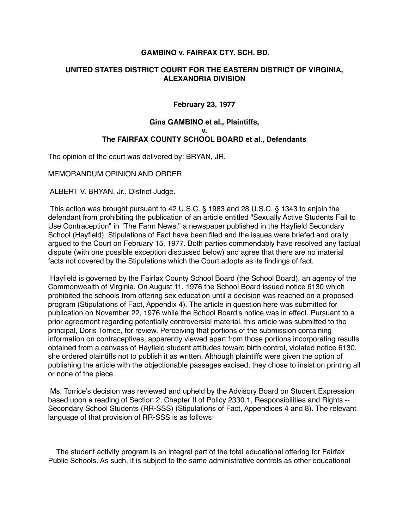### **GAMBINO v. FAIRFAX CTY. SCH. BD.**

## **UNITED STATES DISTRICT COURT FOR THE EASTERN DISTRICT OF VIRGINIA, ALEXANDRIA DIVISION**

## **February 23, 1977**

# **Gina GAMBINO et al., Plaintiffs, v. The FAIRFAX COUNTY SCHOOL BOARD et al., Defendants**

The opinion of the court was delivered by: BRYAN, JR.

#### MEMORANDUM OPINION AND ORDER

ALBERT V. BRYAN, Jr., District Judge.

 This action was brought pursuant to 42 U.S.C. § 1983 and 28 U.S.C. § 1343 to enjoin the defendant from prohibiting the publication of an article entitled "Sexually Active Students Fail to Use Contraception" in "The Farm News," a newspaper published in the Hayfield Secondary School (Hayfield). Stipulations of Fact have been filed and the issues were briefed and orally argued to the Court on February 15, 1977. Both parties commendably have resolved any factual dispute (with one possible exception discussed below) and agree that there are no material facts not covered by the Stipulations which the Court adopts as its findings of fact.

 Hayfield is governed by the Fairfax County School Board (the School Board), an agency of the Commonwealth of Virginia. On August 11, 1976 the School Board issued notice 6130 which prohibited the schools from offering sex education until a decision was reached on a proposed program (Stipulations of Fact, Appendix 4). The article in question here was submitted for publication on November 22, 1976 while the School Board's notice was in effect. Pursuant to a prior agreement regarding potentially controversial material, this article was submitted to the principal, Doris Torrice, for review. Perceiving that portions of the submission containing information on contraceptives, apparently viewed apart from those portions incorporating results obtained from a canvass of Hayfield student attitudes toward birth control, violated notice 6130, she ordered plaintiffs not to publish it as written. Although plaintiffs were given the option of publishing the article with the objectionable passages excised, they chose to insist on printing all or none of the piece.

 Ms. Torrice's decision was reviewed and upheld by the Advisory Board on Student Expression based upon a reading of Section 2, Chapter II of Policy 2330.1, Responsibilities and Rights -- Secondary School Students (RR-SSS) (Stipulations of Fact, Appendices 4 and 8). The relevant language of that provision of RR-SSS is as follows:

 The student activity program is an integral part of the total educational offering for Fairfax Public Schools. As such, it is subject to the same administrative controls as other educational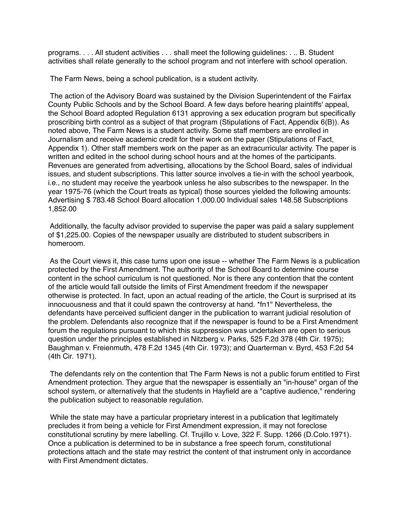programs. . . . All student activities . . . shall meet the following guidelines: . .. B. Student activities shall relate generally to the school program and not interfere with school operation.

The Farm News, being a school publication, is a student activity.

 The action of the Advisory Board was sustained by the Division Superintendent of the Fairfax County Public Schools and by the School Board. A few days before hearing plaintiffs' appeal, the School Board adopted Regulation 6131 approving a sex education program but specifically proscribing birth control as a subject of that program (Stipulations of Fact, Appendix 6(B)). As noted above, The Farm News is a student activity. Some staff members are enrolled in Journalism and receive academic credit for their work on the paper (Stipulations of Fact, Appendix 1). Other staff members work on the paper as an extracurricular activity. The paper is written and edited in the school during school hours and at the homes of the participants. Revenues are generated from advertising, allocations by the School Board, sales of individual issues, and student subscriptions. This latter source involves a tie-in with the school yearbook, i.e., no student may receive the yearbook unless he also subscribes to the newspaper. In the year 1975-76 (which the Court treats as typical) those sources yielded the following amounts: Advertising \$ 783.48 School Board allocation 1,000.00 Individual sales 148.58 Subscriptions 1,852.00

 Additionally, the faculty advisor provided to supervise the paper was paid a salary supplement of \$1,225.00. Copies of the newspaper usually are distributed to student subscribers in homeroom.

 As the Court views it, this case turns upon one issue -- whether The Farm News is a publication protected by the First Amendment. The authority of the School Board to determine course content in the school curriculum is not questioned. Nor is there any contention that the content of the article would fall outside the limits of First Amendment freedom if the newspaper otherwise is protected. In fact, upon an actual reading of the article, the Court is surprised at its innocuousness and that it could spawn the controversy at hand. \*fn1" Nevertheless, the defendants have perceived sufficient danger in the publication to warrant judicial resolution of the problem. Defendants also recognize that if the newspaper is found to be a First Amendment forum the regulations pursuant to which this suppression was undertaken are open to serious question under the principles established in Nitzberg v. Parks, 525 F.2d 378 (4th Cir. 1975); Baughman v. Freienmuth, 478 F.2d 1345 (4th Cir. 1973); and Quarterman v. Byrd, 453 F.2d 54 (4th Cir. 1971).

 The defendants rely on the contention that The Farm News is not a public forum entitled to First Amendment protection. They argue that the newspaper is essentially an "in-house" organ of the school system, or alternatively that the students in Hayfield are a "captive audience," rendering the publication subject to reasonable regulation.

 While the state may have a particular proprietary interest in a publication that legitimately precludes it from being a vehicle for First Amendment expression, it may not foreclose constitutional scrutiny by mere labelling. Cf. Trujillo v. Love, 322 F. Supp. 1266 (D.Colo.1971). Once a publication is determined to be in substance a free speech forum, constitutional protections attach and the state may restrict the content of that instrument only in accordance with First Amendment dictates.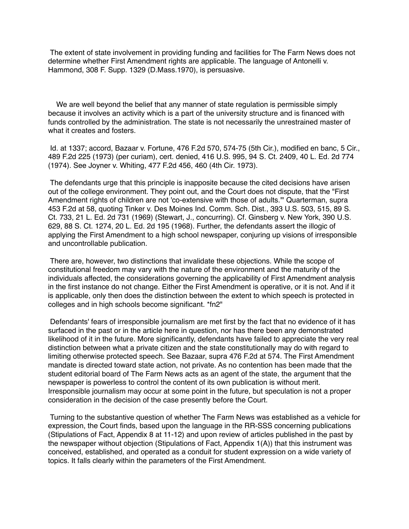The extent of state involvement in providing funding and facilities for The Farm News does not determine whether First Amendment rights are applicable. The language of Antonelli v. Hammond, 308 F. Supp. 1329 (D.Mass.1970), is persuasive.

We are well beyond the belief that any manner of state regulation is permissible simply because it involves an activity which is a part of the university structure and is financed with funds controlled by the administration. The state is not necessarily the unrestrained master of what it creates and fosters.

 Id. at 1337; accord, Bazaar v. Fortune, 476 F.2d 570, 574-75 (5th Cir.), modified en banc, 5 Cir., 489 F.2d 225 (1973) (per curiam), cert. denied, 416 U.S. 995, 94 S. Ct. 2409, 40 L. Ed. 2d 774 (1974). See Joyner v. Whiting, 477 F.2d 456, 460 (4th Cir. 1973).

 The defendants urge that this principle is inapposite because the cited decisions have arisen out of the college environment. They point out, and the Court does not dispute, that the "First Amendment rights of children are not 'co-extensive with those of adults.'" Quarterman, supra 453 F.2d at 58, quoting Tinker v. Des Moines Ind. Comm. Sch. Dist., 393 U.S. 503, 515, 89 S. Ct. 733, 21 L. Ed. 2d 731 (1969) (Stewart, J., concurring). Cf. Ginsberg v. New York, 390 U.S. 629, 88 S. Ct. 1274, 20 L. Ed. 2d 195 (1968). Further, the defendants assert the illogic of applying the First Amendment to a high school newspaper, conjuring up visions of irresponsible and uncontrollable publication.

 There are, however, two distinctions that invalidate these objections. While the scope of constitutional freedom may vary with the nature of the environment and the maturity of the individuals affected, the considerations governing the applicability of First Amendment analysis in the first instance do not change. Either the First Amendment is operative, or it is not. And if it is applicable, only then does the distinction between the extent to which speech is protected in colleges and in high schools become significant. \*fn2"

 Defendants' fears of irresponsible journalism are met first by the fact that no evidence of it has surfaced in the past or in the article here in question, nor has there been any demonstrated likelihood of it in the future. More significantly, defendants have failed to appreciate the very real distinction between what a private citizen and the state constitutionally may do with regard to limiting otherwise protected speech. See Bazaar, supra 476 F.2d at 574. The First Amendment mandate is directed toward state action, not private. As no contention has been made that the student editorial board of The Farm News acts as an agent of the state, the argument that the newspaper is powerless to control the content of its own publication is without merit. Irresponsible journalism may occur at some point in the future, but speculation is not a proper consideration in the decision of the case presently before the Court.

 Turning to the substantive question of whether The Farm News was established as a vehicle for expression, the Court finds, based upon the language in the RR-SSS concerning publications (Stipulations of Fact, Appendix 8 at 11-12) and upon review of articles published in the past by the newspaper without objection (Stipulations of Fact, Appendix 1(A)) that this instrument was conceived, established, and operated as a conduit for student expression on a wide variety of topics. It falls clearly within the parameters of the First Amendment.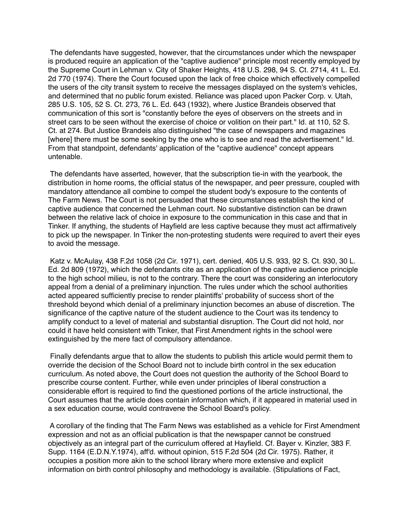The defendants have suggested, however, that the circumstances under which the newspaper is produced require an application of the "captive audience" principle most recently employed by the Supreme Court in Lehman v. City of Shaker Heights, 418 U.S. 298, 94 S. Ct. 2714, 41 L. Ed. 2d 770 (1974). There the Court focused upon the lack of free choice which effectively compelled the users of the city transit system to receive the messages displayed on the system's vehicles, and determined that no public forum existed. Reliance was placed upon Packer Corp. v. Utah, 285 U.S. 105, 52 S. Ct. 273, 76 L. Ed. 643 (1932), where Justice Brandeis observed that communication of this sort is "constantly before the eyes of observers on the streets and in street cars to be seen without the exercise of choice or volition on their part." Id. at 110, 52 S. Ct. at 274. But Justice Brandeis also distinguished "the case of newspapers and magazines [where] there must be some seeking by the one who is to see and read the advertisement." Id. From that standpoint, defendants' application of the "captive audience" concept appears untenable.

 The defendants have asserted, however, that the subscription tie-in with the yearbook, the distribution in home rooms, the official status of the newspaper, and peer pressure, coupled with mandatory attendance all combine to compel the student body's exposure to the contents of The Farm News. The Court is not persuaded that these circumstances establish the kind of captive audience that concerned the Lehman court. No substantive distinction can be drawn between the relative lack of choice in exposure to the communication in this case and that in Tinker. If anything, the students of Hayfield are less captive because they must act affirmatively to pick up the newspaper. In Tinker the non-protesting students were required to avert their eyes to avoid the message.

 Katz v. McAulay, 438 F.2d 1058 (2d Cir. 1971), cert. denied, 405 U.S. 933, 92 S. Ct. 930, 30 L. Ed. 2d 809 (1972), which the defendants cite as an application of the captive audience principle to the high school milieu, is not to the contrary. There the court was considering an interlocutory appeal from a denial of a preliminary injunction. The rules under which the school authorities acted appeared sufficiently precise to render plaintiffs' probability of success short of the threshold beyond which denial of a preliminary injunction becomes an abuse of discretion. The significance of the captive nature of the student audience to the Court was its tendency to amplify conduct to a level of material and substantial disruption. The Court did not hold, nor could it have held consistent with Tinker, that First Amendment rights in the school were extinguished by the mere fact of compulsory attendance.

 Finally defendants argue that to allow the students to publish this article would permit them to override the decision of the School Board not to include birth control in the sex education curriculum. As noted above, the Court does not question the authority of the School Board to prescribe course content. Further, while even under principles of liberal construction a considerable effort is required to find the questioned portions of the article instructional, the Court assumes that the article does contain information which, if it appeared in material used in a sex education course, would contravene the School Board's policy.

 A corollary of the finding that The Farm News was established as a vehicle for First Amendment expression and not as an official publication is that the newspaper cannot be construed objectively as an integral part of the curriculum offered at Hayfield. Cf. Bayer v. Kinzler, 383 F. Supp. 1164 (E.D.N.Y.1974), aff'd. without opinion, 515 F.2d 504 (2d Cir. 1975). Rather, it occupies a position more akin to the school library where more extensive and explicit information on birth control philosophy and methodology is available. (Stipulations of Fact,